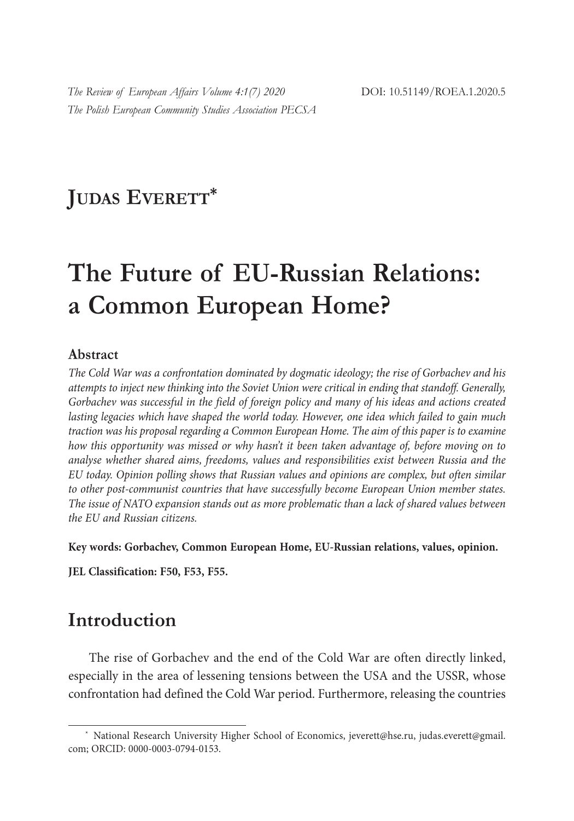## **JUDAS EVERETT\***

# **The Future of EU-Russian Relations: a Common European Home?**

#### **Abstract**

*The Cold War was a confrontation dominated by dogmatic ideology; the rise of Gorbachev and his attempts to inject new thinking into the Soviet Union were critical in ending that standoff. Generally, Gorbachev was successful in the field of foreign policy and many of his ideas and actions created lasting legacies which have shaped the world today. However, one idea which failed to gain much traction was his proposal regarding a Common European Home. The aim of this paper is to examine how this opportunity was missed or why hasn't it been taken advantage of, before moving on to analyse whether shared aims, freedoms, values and responsibilities exist between Russia and the EU today. Opinion polling shows that Russian values and opinions are complex, but often similar to other post-communist countries that have successfully become European Union member states. The issue of NATO expansion stands out as more problematic than a lack of shared values between the EU and Russian citizens.* 

**Key words: Gorbachev, Common European Home, EU-Russian relations, values, opinion.**

**JEL Classification: F50, F53, F55.**

#### **Introduction**

The rise of Gorbachev and the end of the Cold War are often directly linked, especially in the area of lessening tensions between the USA and the USSR, whose confrontation had defined the Cold War period. Furthermore, releasing the countries

<sup>\*</sup> National Research University Higher School of Economics, jeverett@hse.ru, judas.everett@gmail. com; ORCID: 0000-0003-0794-0153.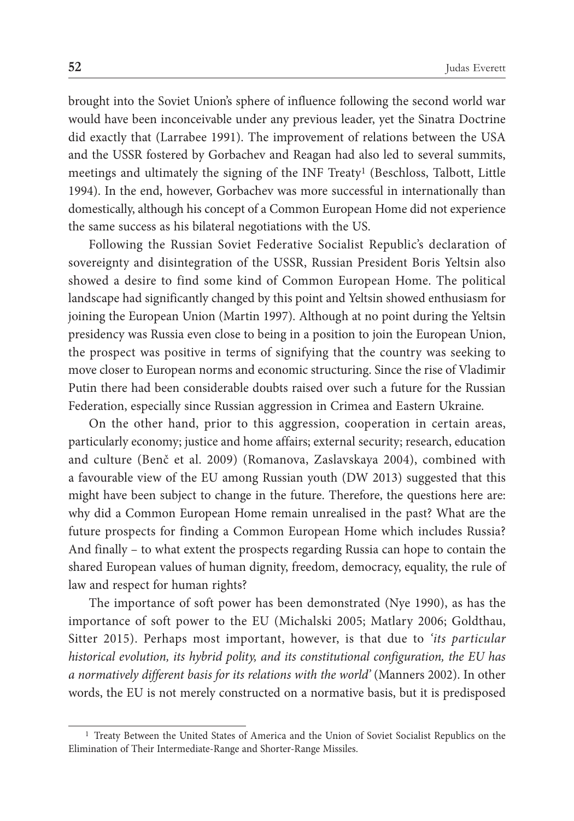brought into the Soviet Union's sphere of influence following the second world war would have been inconceivable under any previous leader, yet the Sinatra Doctrine did exactly that (Larrabee 1991). The improvement of relations between the USA and the USSR fostered by Gorbachev and Reagan had also led to several summits, meetings and ultimately the signing of the INF Treaty1 (Beschloss, Talbott, Little 1994). In the end, however, Gorbachev was more successful in internationally than domestically, although his concept of a Common European Home did not experience the same success as his bilateral negotiations with the US.

Following the Russian Soviet Federative Socialist Republic's declaration of sovereignty and disintegration of the USSR, Russian President Boris Yeltsin also showed a desire to find some kind of Common European Home. The political landscape had significantly changed by this point and Yeltsin showed enthusiasm for joining the European Union (Martin 1997). Although at no point during the Yeltsin presidency was Russia even close to being in a position to join the European Union, the prospect was positive in terms of signifying that the country was seeking to move closer to European norms and economic structuring. Since the rise of Vladimir Putin there had been considerable doubts raised over such a future for the Russian Federation, especially since Russian aggression in Crimea and Eastern Ukraine.

On the other hand, prior to this aggression, cooperation in certain areas, particularly economy; justice and home affairs; external security; research, education and culture (Benč et al. 2009) (Romanova, Zaslavskaya 2004), combined with a favourable view of the EU among Russian youth (DW 2013) suggested that this might have been subject to change in the future. Therefore, the questions here are: why did a Common European Home remain unrealised in the past? What are the future prospects for finding a Common European Home which includes Russia? And finally – to what extent the prospects regarding Russia can hope to contain the shared European values of human dignity, freedom, democracy, equality, the rule of law and respect for human rights?

The importance of soft power has been demonstrated (Nye 1990), as has the importance of soft power to the EU (Michalski 2005; Matlary 2006; Goldthau, Sitter 2015). Perhaps most important, however, is that due to *'its particular historical evolution, its hybrid polity, and its constitutional configuration, the EU has a normatively different basis for its relations with the world'* (Manners 2002). In other words, the EU is not merely constructed on a normative basis, but it is predisposed

<sup>1</sup> Treaty Between the United States of America and the Union of Soviet Socialist Republics on the Elimination of Their Intermediate-Range and Shorter-Range Missiles.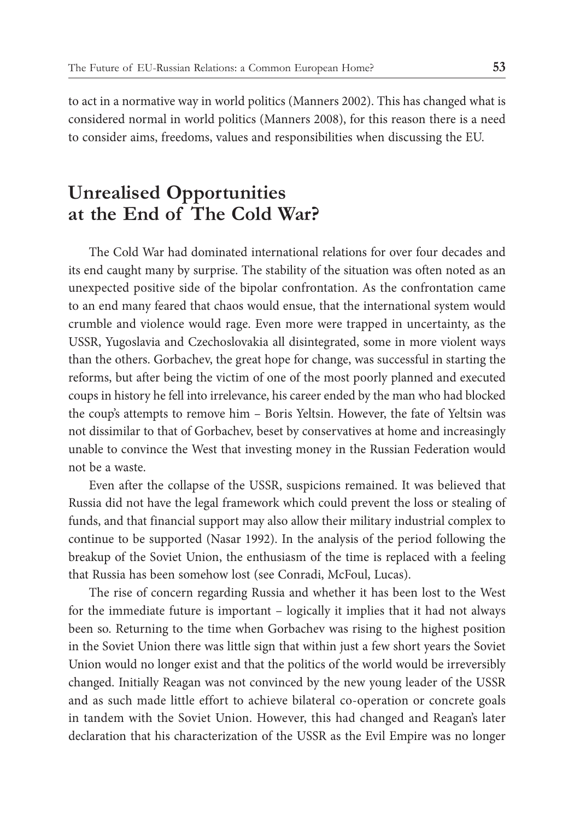to act in a normative way in world politics (Manners 2002). This has changed what is considered normal in world politics (Manners 2008), for this reason there is a need to consider aims, freedoms, values and responsibilities when discussing the EU.

### **Unrealised Opportunities at the End of The Cold War?**

The Cold War had dominated international relations for over four decades and its end caught many by surprise. The stability of the situation was often noted as an unexpected positive side of the bipolar confrontation. As the confrontation came to an end many feared that chaos would ensue, that the international system would crumble and violence would rage. Even more were trapped in uncertainty, as the USSR, Yugoslavia and Czechoslovakia all disintegrated, some in more violent ways than the others. Gorbachev, the great hope for change, was successful in starting the reforms, but after being the victim of one of the most poorly planned and executed coups in history he fell into irrelevance, his career ended by the man who had blocked the coup's attempts to remove him – Boris Yeltsin. However, the fate of Yeltsin was not dissimilar to that of Gorbachev, beset by conservatives at home and increasingly unable to convince the West that investing money in the Russian Federation would not be a waste.

Even after the collapse of the USSR, suspicions remained. It was believed that Russia did not have the legal framework which could prevent the loss or stealing of funds, and that financial support may also allow their military industrial complex to continue to be supported (Nasar 1992). In the analysis of the period following the breakup of the Soviet Union, the enthusiasm of the time is replaced with a feeling that Russia has been somehow lost (see Conradi, McFoul, Lucas).

The rise of concern regarding Russia and whether it has been lost to the West for the immediate future is important – logically it implies that it had not always been so. Returning to the time when Gorbachev was rising to the highest position in the Soviet Union there was little sign that within just a few short years the Soviet Union would no longer exist and that the politics of the world would be irreversibly changed. Initially Reagan was not convinced by the new young leader of the USSR and as such made little effort to achieve bilateral co-operation or concrete goals in tandem with the Soviet Union. However, this had changed and Reagan's later declaration that his characterization of the USSR as the Evil Empire was no longer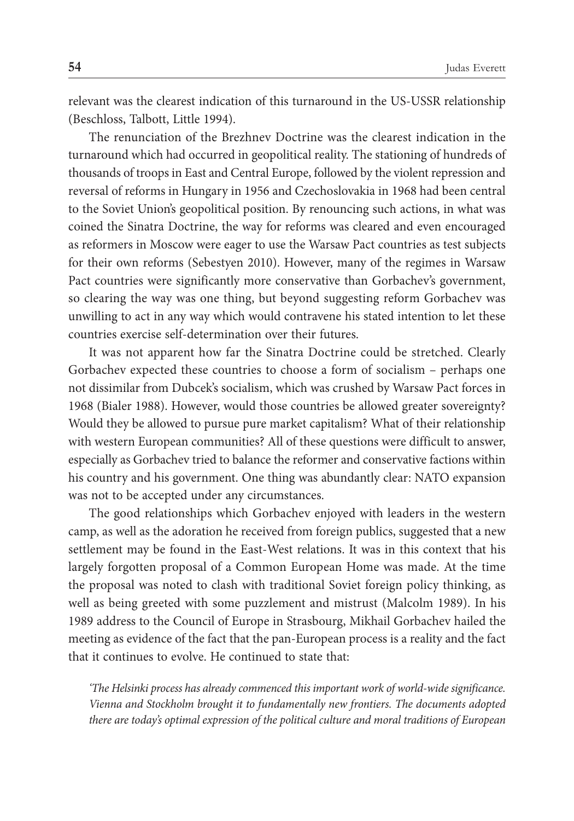relevant was the clearest indication of this turnaround in the US-USSR relationship (Beschloss, Talbott, Little 1994).

The renunciation of the Brezhnev Doctrine was the clearest indication in the turnaround which had occurred in geopolitical reality. The stationing of hundreds of thousands of troops in East and Central Europe, followed by the violent repression and reversal of reforms in Hungary in 1956 and Czechoslovakia in 1968 had been central to the Soviet Union's geopolitical position. By renouncing such actions, in what was coined the Sinatra Doctrine, the way for reforms was cleared and even encouraged as reformers in Moscow were eager to use the Warsaw Pact countries as test subjects for their own reforms (Sebestyen 2010). However, many of the regimes in Warsaw Pact countries were significantly more conservative than Gorbachev's government, so clearing the way was one thing, but beyond suggesting reform Gorbachev was unwilling to act in any way which would contravene his stated intention to let these countries exercise self-determination over their futures.

It was not apparent how far the Sinatra Doctrine could be stretched. Clearly Gorbachev expected these countries to choose a form of socialism – perhaps one not dissimilar from Dubcek's socialism, which was crushed by Warsaw Pact forces in 1968 (Bialer 1988). However, would those countries be allowed greater sovereignty? Would they be allowed to pursue pure market capitalism? What of their relationship with western European communities? All of these questions were difficult to answer, especially as Gorbachev tried to balance the reformer and conservative factions within his country and his government. One thing was abundantly clear: NATO expansion was not to be accepted under any circumstances.

The good relationships which Gorbachev enjoyed with leaders in the western camp, as well as the adoration he received from foreign publics, suggested that a new settlement may be found in the East-West relations. It was in this context that his largely forgotten proposal of a Common European Home was made. At the time the proposal was noted to clash with traditional Soviet foreign policy thinking, as well as being greeted with some puzzlement and mistrust (Malcolm 1989). In his 1989 address to the Council of Europe in Strasbourg, Mikhail Gorbachev hailed the meeting as evidence of the fact that the pan-European process is a reality and the fact that it continues to evolve. He continued to state that:

*'The Helsinki process has already commenced this important work of world-wide significance. Vienna and Stockholm brought it to fundamentally new frontiers. The documents adopted there are today's optimal expression of the political culture and moral traditions of European*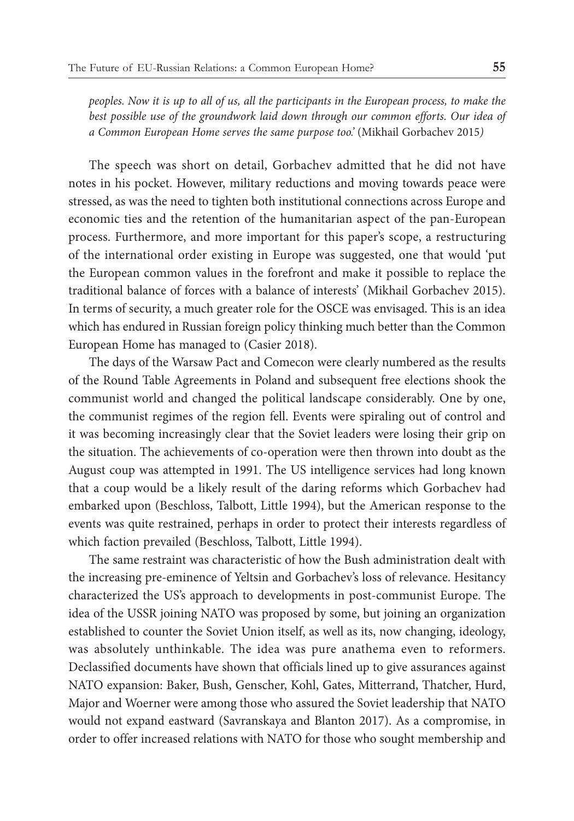*peoples. Now it is up to all of us, all the participants in the European process, to make the*  best possible use of the groundwork laid down through our common efforts. Our idea of *a Common European Home serves the same purpose too.'* (Mikhail Gorbachev 2015*)*

The speech was short on detail, Gorbachev admitted that he did not have notes in his pocket. However, military reductions and moving towards peace were stressed, as was the need to tighten both institutional connections across Europe and economic ties and the retention of the humanitarian aspect of the pan-European process. Furthermore, and more important for this paper's scope, a restructuring of the international order existing in Europe was suggested, one that would 'put the European common values in the forefront and make it possible to replace the traditional balance of forces with a balance of interests' (Mikhail Gorbachev 2015). In terms of security, a much greater role for the OSCE was envisaged. This is an idea which has endured in Russian foreign policy thinking much better than the Common European Home has managed to (Casier 2018).

The days of the Warsaw Pact and Comecon were clearly numbered as the results of the Round Table Agreements in Poland and subsequent free elections shook the communist world and changed the political landscape considerably. One by one, the communist regimes of the region fell. Events were spiraling out of control and it was becoming increasingly clear that the Soviet leaders were losing their grip on the situation. The achievements of co-operation were then thrown into doubt as the August coup was attempted in 1991. The US intelligence services had long known that a coup would be a likely result of the daring reforms which Gorbachev had embarked upon (Beschloss, Talbott, Little 1994), but the American response to the events was quite restrained, perhaps in order to protect their interests regardless of which faction prevailed (Beschloss, Talbott, Little 1994).

The same restraint was characteristic of how the Bush administration dealt with the increasing pre-eminence of Yeltsin and Gorbachev's loss of relevance. Hesitancy characterized the US's approach to developments in post-communist Europe. The idea of the USSR joining NATO was proposed by some, but joining an organization established to counter the Soviet Union itself, as well as its, now changing, ideology, was absolutely unthinkable. The idea was pure anathema even to reformers. Declassified documents have shown that officials lined up to give assurances against NATO expansion: Baker, Bush, Genscher, Kohl, Gates, Mitterrand, Thatcher, Hurd, Major and Woerner were among those who assured the Soviet leadership that NATO would not expand eastward (Savranskaya and Blanton 2017). As a compromise, in order to offer increased relations with NATO for those who sought membership and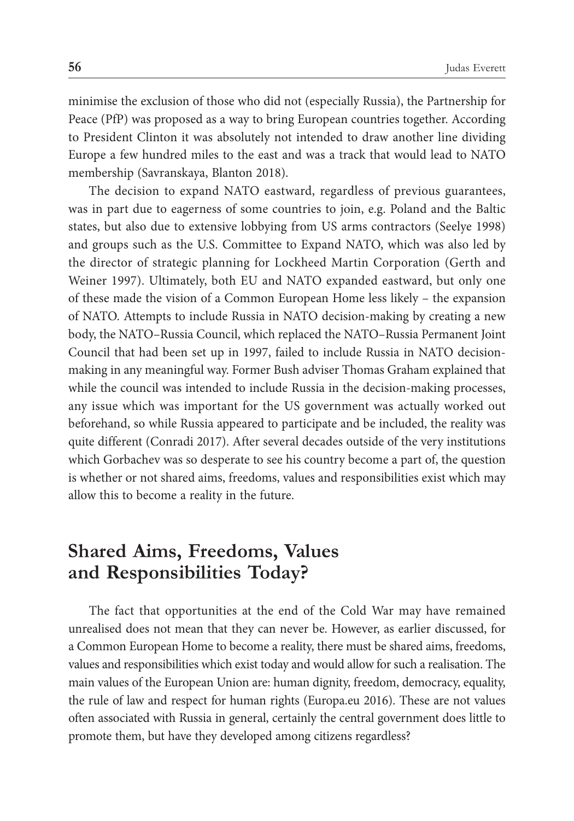minimise the exclusion of those who did not (especially Russia), the Partnership for Peace (PfP) was proposed as a way to bring European countries together. According to President Clinton it was absolutely not intended to draw another line dividing Europe a few hundred miles to the east and was a track that would lead to NATO membership (Savranskaya, Blanton 2018).

The decision to expand NATO eastward, regardless of previous guarantees, was in part due to eagerness of some countries to join, e.g. Poland and the Baltic states, but also due to extensive lobbying from US arms contractors (Seelye 1998) and groups such as the U.S. Committee to Expand NATO, which was also led by the director of strategic planning for Lockheed Martin Corporation (Gerth and Weiner 1997). Ultimately, both EU and NATO expanded eastward, but only one of these made the vision of a Common European Home less likely – the expansion of NATO. Attempts to include Russia in NATO decision-making by creating a new body, the NATO–Russia Council, which replaced the NATO–Russia Permanent Joint Council that had been set up in 1997, failed to include Russia in NATO decisionmaking in any meaningful way. Former Bush adviser Thomas Graham explained that while the council was intended to include Russia in the decision-making processes, any issue which was important for the US government was actually worked out beforehand, so while Russia appeared to participate and be included, the reality was quite different (Conradi 2017). After several decades outside of the very institutions which Gorbachev was so desperate to see his country become a part of, the question is whether or not shared aims, freedoms, values and responsibilities exist which may allow this to become a reality in the future.

#### **Shared Aims, Freedoms, Values and Responsibilities Today?**

The fact that opportunities at the end of the Cold War may have remained unrealised does not mean that they can never be. However, as earlier discussed, for a Common European Home to become a reality, there must be shared aims, freedoms, values and responsibilities which exist today and would allow for such a realisation. The main values of the European Union are: human dignity, freedom, democracy, equality, the rule of law and respect for human rights (Europa.eu 2016). These are not values often associated with Russia in general, certainly the central government does little to promote them, but have they developed among citizens regardless?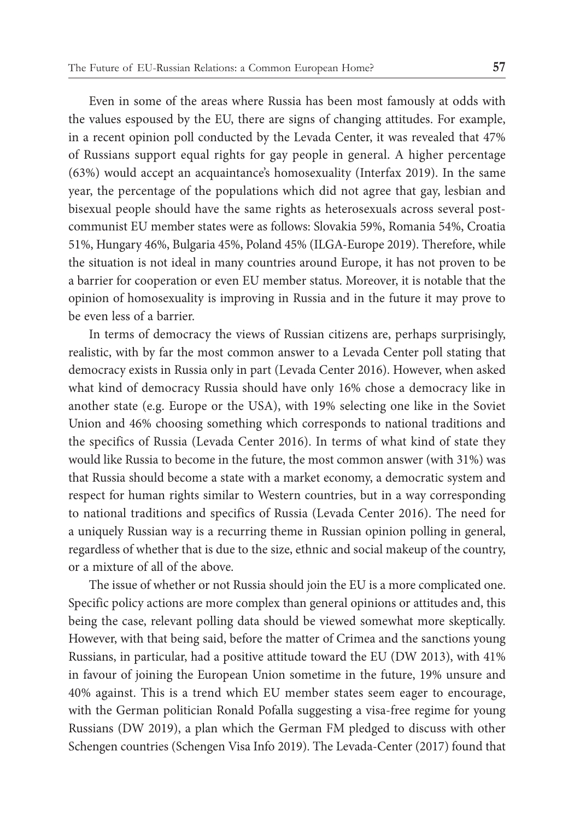Even in some of the areas where Russia has been most famously at odds with the values espoused by the EU, there are signs of changing attitudes. For example, in a recent opinion poll conducted by the Levada Center, it was revealed that 47% of Russians support equal rights for gay people in general. A higher percentage (63%) would accept an acquaintance's homosexuality (Interfax 2019). In the same year, the percentage of the populations which did not agree that gay, lesbian and bisexual people should have the same rights as heterosexuals across several postcommunist EU member states were as follows: Slovakia 59%, Romania 54%, Croatia 51%, Hungary 46%, Bulgaria 45%, Poland 45% (ILGA-Europe 2019). Therefore, while the situation is not ideal in many countries around Europe, it has not proven to be a barrier for cooperation or even EU member status. Moreover, it is notable that the opinion of homosexuality is improving in Russia and in the future it may prove to be even less of a barrier.

In terms of democracy the views of Russian citizens are, perhaps surprisingly, realistic, with by far the most common answer to a Levada Center poll stating that democracy exists in Russia only in part (Levada Center 2016). However, when asked what kind of democracy Russia should have only 16% chose a democracy like in another state (e.g. Europe or the USA), with 19% selecting one like in the Soviet Union and 46% choosing something which corresponds to national traditions and the specifics of Russia (Levada Center 2016). In terms of what kind of state they would like Russia to become in the future, the most common answer (with 31%) was that Russia should become a state with a market economy, a democratic system and respect for human rights similar to Western countries, but in a way corresponding to national traditions and specifics of Russia (Levada Center 2016). The need for a uniquely Russian way is a recurring theme in Russian opinion polling in general, regardless of whether that is due to the size, ethnic and social makeup of the country, or a mixture of all of the above.

The issue of whether or not Russia should join the EU is a more complicated one. Specific policy actions are more complex than general opinions or attitudes and, this being the case, relevant polling data should be viewed somewhat more skeptically. However, with that being said, before the matter of Crimea and the sanctions young Russians, in particular, had a positive attitude toward the EU (DW 2013), with 41% in favour of joining the European Union sometime in the future, 19% unsure and 40% against. This is a trend which EU member states seem eager to encourage, with the German politician Ronald Pofalla suggesting a visa-free regime for young Russians (DW 2019), a plan which the German FM pledged to discuss with other Schengen countries (Schengen Visa Info 2019). The Levada-Center (2017) found that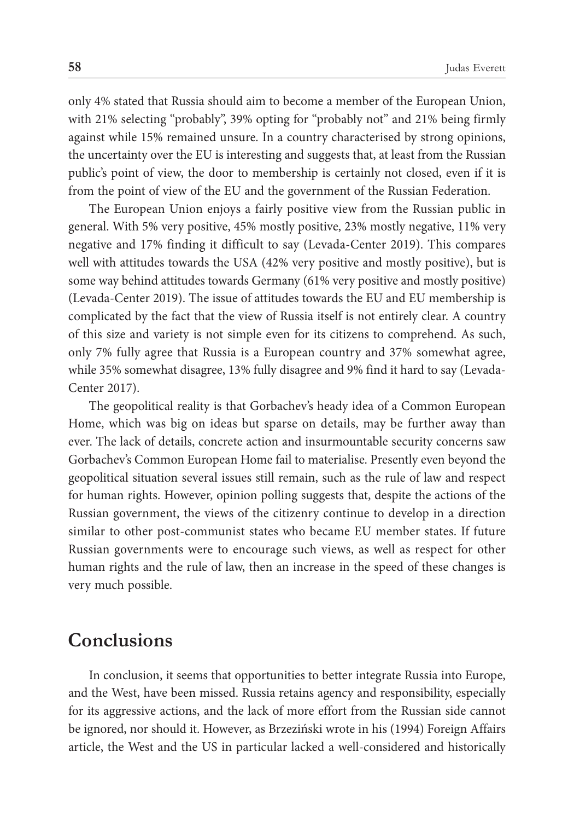only 4% stated that Russia should aim to become a member of the European Union, with 21% selecting "probably", 39% opting for "probably not" and 21% being firmly against while 15% remained unsure. In a country characterised by strong opinions, the uncertainty over the EU is interesting and suggests that, at least from the Russian public's point of view, the door to membership is certainly not closed, even if it is from the point of view of the EU and the government of the Russian Federation.

The European Union enjoys a fairly positive view from the Russian public in general. With 5% very positive, 45% mostly positive, 23% mostly negative, 11% very negative and 17% finding it difficult to say (Levada-Center 2019). This compares well with attitudes towards the USA (42% very positive and mostly positive), but is some way behind attitudes towards Germany (61% very positive and mostly positive) (Levada-Center 2019). The issue of attitudes towards the EU and EU membership is complicated by the fact that the view of Russia itself is not entirely clear. A country of this size and variety is not simple even for its citizens to comprehend. As such, only 7% fully agree that Russia is a European country and 37% somewhat agree, while 35% somewhat disagree, 13% fully disagree and 9% find it hard to say (Levada-Center 2017).

The geopolitical reality is that Gorbachev's heady idea of a Common European Home, which was big on ideas but sparse on details, may be further away than ever. The lack of details, concrete action and insurmountable security concerns saw Gorbachev's Common European Home fail to materialise. Presently even beyond the geopolitical situation several issues still remain, such as the rule of law and respect for human rights. However, opinion polling suggests that, despite the actions of the Russian government, the views of the citizenry continue to develop in a direction similar to other post-communist states who became EU member states. If future Russian governments were to encourage such views, as well as respect for other human rights and the rule of law, then an increase in the speed of these changes is very much possible.

#### **Conclusions**

In conclusion, it seems that opportunities to better integrate Russia into Europe, and the West, have been missed. Russia retains agency and responsibility, especially for its aggressive actions, and the lack of more effort from the Russian side cannot be ignored, nor should it. However, as Brzeziński wrote in his (1994) Foreign Affairs article, the West and the US in particular lacked a well-considered and historically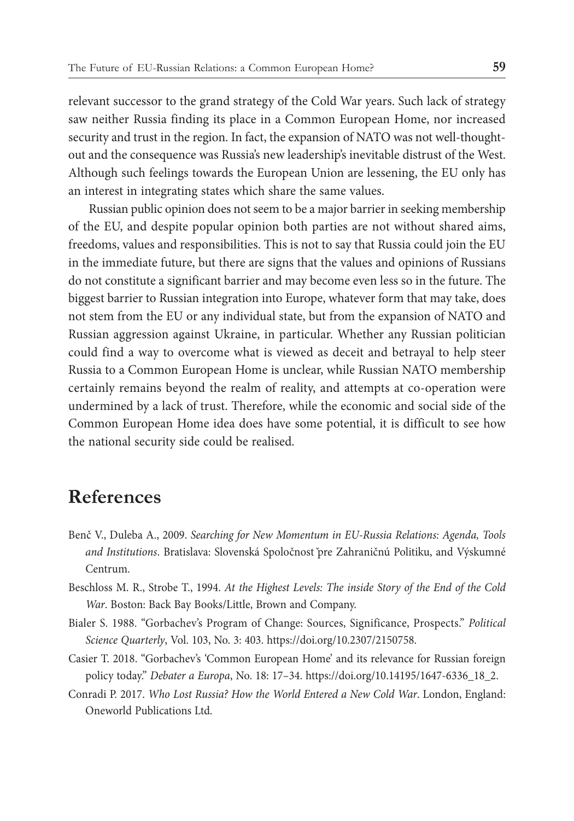relevant successor to the grand strategy of the Cold War years. Such lack of strategy saw neither Russia finding its place in a Common European Home, nor increased security and trust in the region. In fact, the expansion of NATO was not well-thoughtout and the consequence was Russia's new leadership's inevitable distrust of the West. Although such feelings towards the European Union are lessening, the EU only has an interest in integrating states which share the same values.

Russian public opinion does not seem to be a major barrier in seeking membership of the EU, and despite popular opinion both parties are not without shared aims, freedoms, values and responsibilities. This is not to say that Russia could join the EU in the immediate future, but there are signs that the values and opinions of Russians do not constitute a significant barrier and may become even less so in the future. The biggest barrier to Russian integration into Europe, whatever form that may take, does not stem from the EU or any individual state, but from the expansion of NATO and Russian aggression against Ukraine, in particular. Whether any Russian politician could find a way to overcome what is viewed as deceit and betrayal to help steer Russia to a Common European Home is unclear, while Russian NATO membership certainly remains beyond the realm of reality, and attempts at co-operation were undermined by a lack of trust. Therefore, while the economic and social side of the Common European Home idea does have some potential, it is difficult to see how the national security side could be realised.

### **References**

- Benč V., Duleba A., 2009. *Searching for New Momentum in EU-Russia Relations: Agenda, Tools and Institutions*. Bratislava: Slovenská Spoločnost ̌pre Zahraničnú Politiku, and Výskumné Centrum.
- Beschloss M. R., Strobe T., 1994. *At the Highest Levels: The inside Story of the End of the Cold War*. Boston: Back Bay Books/Little, Brown and Company.
- Bialer S. 1988. "Gorbachev's Program of Change: Sources, Significance, Prospects." *Political Science Quarterly*, Vol. 103, No. 3: 403. https://doi.org/10.2307/2150758.
- Casier T. 2018. "Gorbachev's 'Common European Home' and its relevance for Russian foreign policy today." *Debater a Europa*, No. 18: 17–34. https://doi.org/10.14195/1647-6336\_18\_2.
- Conradi P. 2017. *Who Lost Russia? How the World Entered a New Cold War*. London, England: Oneworld Publications Ltd.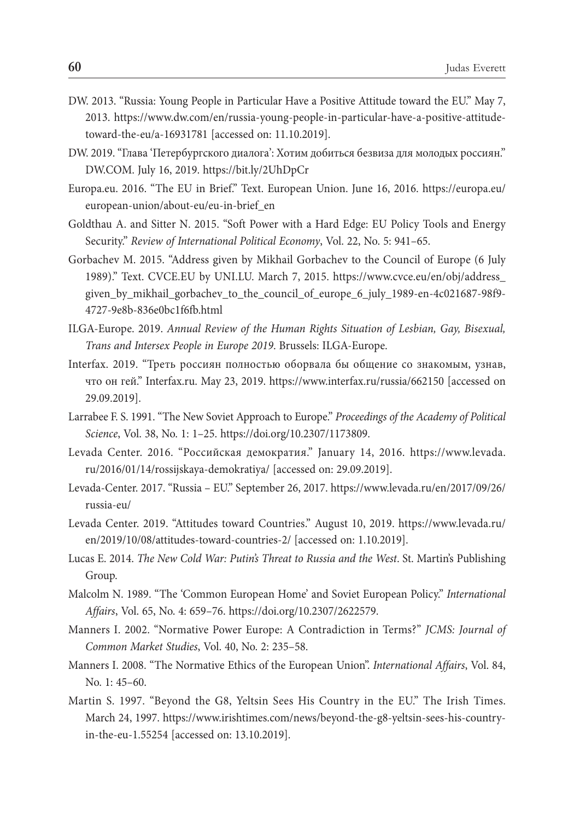- DW. 2013. "Russia: Young People in Particular Have a Positive Attitude toward the EU." May 7, 2013. https://www.dw.com/en/russia-young-people-in-particular-have-a-positive-attitudetoward-the-eu/a-16931781 [accessed on: 11.10.2019].
- DW. 2019. "Глава 'Петербургского диалога': Хотим добиться безвиза для молодых россиян." DW.COM. July 16, 2019. https://bit.ly/2UhDpCr
- Europa.eu. 2016. "The EU in Brief." Text. European Union. June 16, 2016. https://europa.eu/ european-union/about-eu/eu-in-brief\_en
- Goldthau A. and Sitter N. 2015. "Soft Power with a Hard Edge: EU Policy Tools and Energy Security." *Review of International Political Economy*, Vol. 22, No. 5: 941–65.
- Gorbachev M. 2015. "Address given by Mikhail Gorbachev to the Council of Europe (6 July 1989)." Text. CVCE.EU by UNI.LU. March 7, 2015. https://www.cvce.eu/en/obj/address\_ given\_by\_mikhail\_gorbachev\_to\_the\_council\_of\_europe\_6\_july\_1989-en-4c021687-98f9- 4727-9e8b-836e0bc1f6fb.html
- ILGA-Europe. 2019. *Annual Review of the Human Rights Situation of Lesbian, Gay, Bisexual, Trans and Intersex People in Europe 2019*. Brussels: ILGA-Europe.
- Interfax. 2019. "Треть россиян полностью оборвала бы общение со знакомым, узнав, что он гей." Interfax.ru. May 23, 2019. https://www.interfax.ru/russia/662150 [accessed on 29.09.2019].
- Larrabee F. S. 1991. "The New Soviet Approach to Europe." *Proceedings of the Academy of Political Science*, Vol. 38, No. 1: 1–25. https://doi.org/10.2307/1173809.
- Levada Center. 2016. "Российская демократия." January 14, 2016. https://www.levada. ru/2016/01/14/rossijskaya-demokratiya/ [accessed on: 29.09.2019].
- Levada-Center. 2017. "Russia EU." September 26, 2017. https://www.levada.ru/en/2017/09/26/ russia-eu/
- Levada Center. 2019. "Attitudes toward Countries." August 10, 2019. https://www.levada.ru/ en/2019/10/08/attitudes-toward-countries-2/ [accessed on: 1.10.2019].
- Lucas E. 2014. *The New Cold War: Putin's Threat to Russia and the West*. St. Martin's Publishing Group.
- Malcolm N. 1989. "The 'Common European Home' and Soviet European Policy." *International Affairs*, Vol. 65, No. 4: 659–76. https://doi.org/10.2307/2622579.
- Manners I. 2002. "Normative Power Europe: A Contradiction in Terms?" *JCMS: Journal of Common Market Studies*, Vol. 40, No. 2: 235–58.
- Manners I. 2008. "The Normative Ethics of the European Union". *International Affairs*, Vol. 84, No. 1: 45–60.
- Martin S. 1997. "Beyond the G8, Yeltsin Sees His Country in the EU." The Irish Times. March 24, 1997. https://www.irishtimes.com/news/beyond-the-g8-yeltsin-sees-his-countryin-the-eu-1.55254 [accessed on: 13.10.2019].